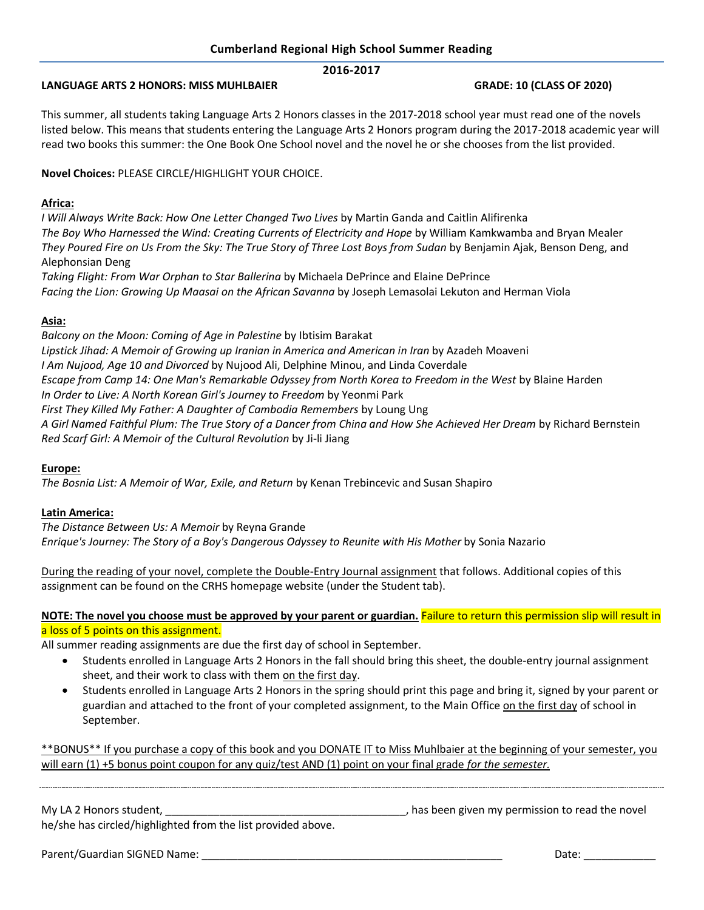# **2016-2017**

### **LANGUAGE ARTS 2 HONORS: MISS MUHLBAIER GRADE: 10 (CLASS OF 2020)**

This summer, all students taking Language Arts 2 Honors classes in the 2017-2018 school year must read one of the novels listed below. This means that students entering the Language Arts 2 Honors program during the 2017-2018 academic year will read two books this summer: the One Book One School novel and the novel he or she chooses from the list provided.

# **Novel Choices:** PLEASE CIRCLE/HIGHLIGHT YOUR CHOICE.

# **Africa:**

*I Will Always Write Back: How One Letter Changed Two Lives* by Martin Ganda and Caitlin Alifirenka *The Boy Who Harnessed the Wind: Creating Currents of Electricity and Hope* by William Kamkwamba and Bryan Mealer *They Poured Fire on Us From the Sky: The True Story of Three Lost Boys from Sudan* by Benjamin Ajak, Benson Deng, and Alephonsian Deng

*Taking Flight: From War Orphan to Star Ballerina* by Michaela DePrince and Elaine DePrince *Facing the Lion: Growing Up Maasai on the African Savanna* by Joseph Lemasolai Lekuton and Herman Viola

# **Asia:**

*Balcony on the Moon: Coming of Age in Palestine* by Ibtisim Barakat *Lipstick Jihad: A Memoir of Growing up Iranian in America and American in Iran* by Azadeh Moaveni *I Am Nujood, Age 10 and Divorced* by Nujood Ali, Delphine Minou, and Linda Coverdale *Escape from Camp 14: One Man's Remarkable Odyssey from North Korea to Freedom in the West* by Blaine Harden *In Order to Live: A North Korean Girl's Journey to Freedom* by Yeonmi Park *First They Killed My Father: A Daughter of Cambodia Remembers* by Loung Ung *A Girl Named Faithful Plum: The True Story of a Dancer from China and How She Achieved Her Dream* by Richard Bernstein *Red Scarf Girl: A Memoir of the Cultural Revolution* by Ji-li Jiang

#### **Europe:**

*The Bosnia List: A Memoir of War, Exile, and Return* by Kenan Trebincevic and Susan Shapiro

# **Latin America:**

*The Distance Between Us: A Memoir* by Reyna Grande *Enrique's Journey: The Story of a Boy's Dangerous Odyssey to Reunite with His Mother* by Sonia Nazario

During the reading of your novel, complete the Double-Entry Journal assignment that follows. Additional copies of this assignment can be found on the CRHS homepage website (under the Student tab).

**NOTE: The novel you choose must be approved by your parent or guardian.** Failure to return this permission slip will result in a loss of 5 points on this assignment.

All summer reading assignments are due the first day of school in September.

- Students enrolled in Language Arts 2 Honors in the fall should bring this sheet, the double-entry journal assignment sheet, and their work to class with them on the first day.
- Students enrolled in Language Arts 2 Honors in the spring should print this page and bring it, signed by your parent or guardian and attached to the front of your completed assignment, to the Main Office on the first day of school in September.

\*\*BONUS\*\* If you purchase a copy of this book and you DONATE IT to Miss Muhlbaier at the beginning of your semester, you will earn (1) +5 bonus point coupon for any quiz/test AND (1) point on your final grade *for the semester.*

My LA 2 Honors student, **My LA 2 Honors student,** the novel studies are not all the novel of the novel of the novel

he/she has circled/highlighted from the list provided above.

Parent/Guardian SIGNED Name: \_\_\_\_\_\_\_\_\_\_\_\_\_\_\_\_\_\_\_\_\_\_\_\_\_\_\_\_\_\_\_\_\_\_\_\_\_\_\_\_\_\_\_\_\_\_\_\_\_\_ Date: \_\_\_\_\_\_\_\_\_\_\_\_